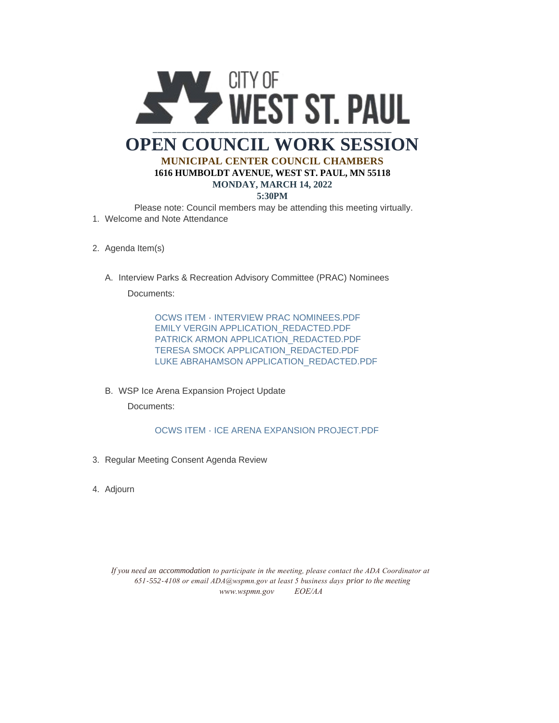

- 2. Agenda Item(s)
	- A. Interview Parks & Recreation Advisory Committee (PRAC) Nominees Documents:

OCWS ITEM - INTERVIEW PRAC NOMINEES.PDF EMILY VERGIN APPLICATION\_REDACTED.PDF PATRICK ARMON APPLICATION\_REDACTED.PDF TERESA SMOCK APPLICATION\_REDACTED.PDF LUKE ABRAHAMSON APPLICATION\_REDACTED.PDF

WSP Ice Arena Expansion Project Update B.

Documents:

OCWS ITEM - ICE ARENA EXPANSION PROJECT.PDF

- 3. Regular Meeting Consent Agenda Review
- Adjourn 4.

*If you need an accommodation to participate in the meeting, please contact the ADA Coordinator at 651-552-4108 or email ADA@wspmn.gov at least 5 business days prior to the meeting www.wspmn.gov EOE/AA*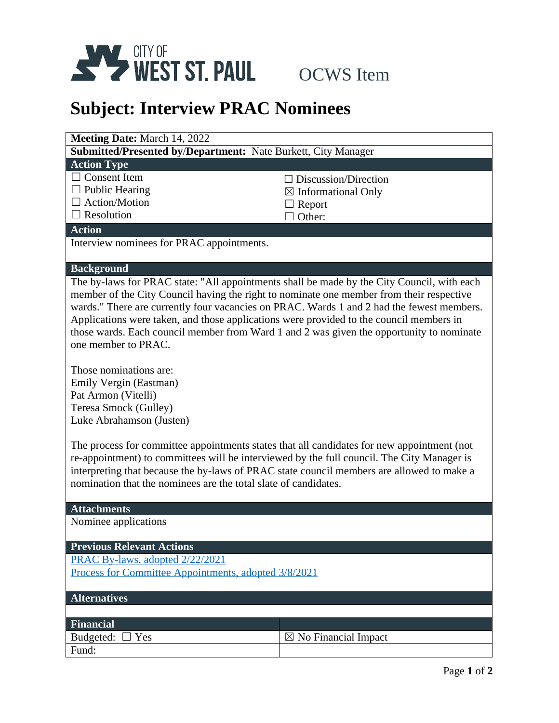

## **Subject: Interview PRAC Nominees**

| <b>Meeting Date: March 14, 2022</b>                                  |                                |  |
|----------------------------------------------------------------------|--------------------------------|--|
| <b>Submitted/Presented by/Department:</b> Nate Burkett, City Manager |                                |  |
| <b>Action Type</b>                                                   |                                |  |
| $\Box$ Consent Item                                                  | $\Box$ Discussion/Direction    |  |
| $\Box$ Public Hearing                                                | $\boxtimes$ Informational Only |  |
| $\Box$ Action/Motion                                                 | $\Box$ Report                  |  |
| $\Box$ Resolution                                                    | Other:                         |  |
| <b>Action</b>                                                        |                                |  |
| Interview nominees for PRAC appointments.                            |                                |  |
|                                                                      |                                |  |
| <b>Background</b>                                                    |                                |  |

The by-laws for PRAC state: "All appointments shall be made by the City Council, with each member of the City Council having the right to nominate one member from their respective wards." There are currently four vacancies on PRAC. Wards 1 and 2 had the fewest members. Applications were taken, and those applications were provided to the council members in those wards. Each council member from Ward 1 and 2 was given the opportunity to nominate one member to PRAC.

Those nominations are: Emily Vergin (Eastman) Pat Armon (Vitelli) Teresa Smock (Gulley) Luke Abrahamson (Justen)

The process for committee appointments states that all candidates for new appointment (not re-appointment) to committees will be interviewed by the full council. The City Manager is interpreting that because the by-laws of PRAC state council members are allowed to make a nomination that the nominees are the total slate of candidates.

## **Attachments**

Nominee applications

## **Previous Relevant Actions**

[PRAC By-laws, adopted 2/22/2021](https://www.wspmn.gov/AgendaCenter/ViewFile/Item/11025?fileID=18004) [Process for Committee Appointments, adopted 3/8/2021](https://www.wspmn.gov/AgendaCenter/ViewFile/Item/11076?fileID=18047)

| <b>Alternatives</b>  |                                 |
|----------------------|---------------------------------|
|                      |                                 |
| <b>Financial</b>     |                                 |
| Budgeted: $\Box$ Yes | $\boxtimes$ No Financial Impact |
| Fund:                |                                 |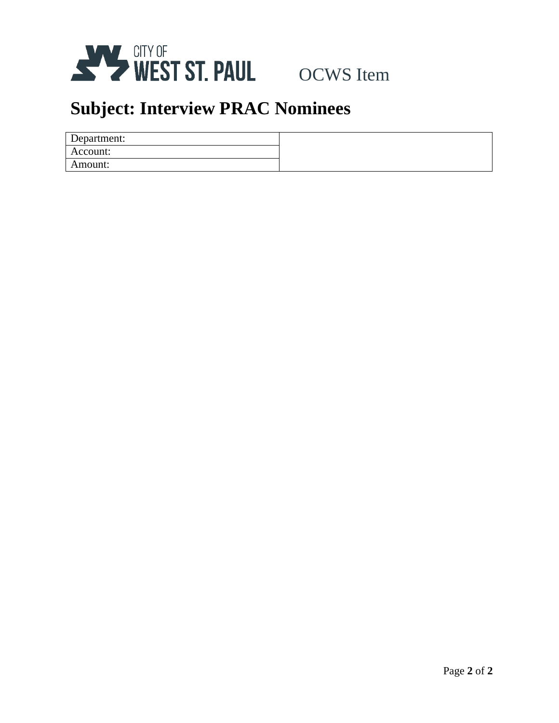

# **Subject: Interview PRAC Nominees**

| Department: |  |
|-------------|--|
| Account:    |  |
| Amount:     |  |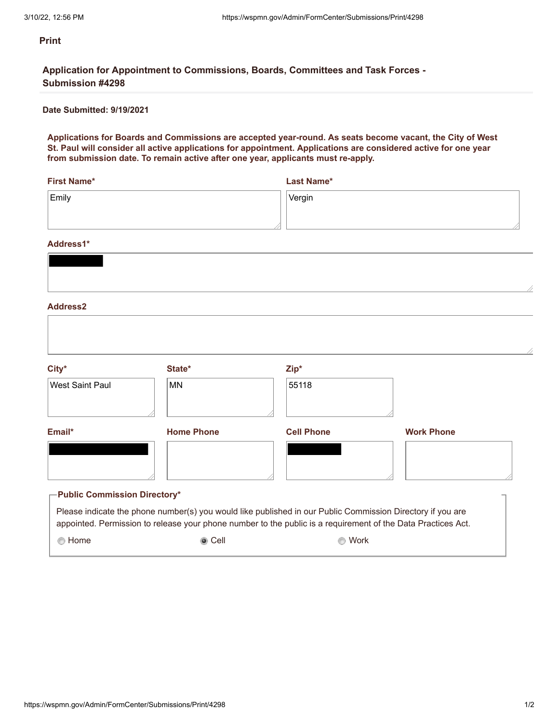**Application for Appointment to Commissions, Boards, Committees and Task Forces - Submission #4298**

## **Date Submitted: 9/19/2021**

**Applications for Boards and Commissions are accepted year-round. As seats become vacant, the City of West St. Paul will consider all active applications for appointment. Applications are considered active for one year from submission date. To remain active after one year, applicants must re-apply.**

| First Name*     | Last Name* |
|-----------------|------------|
| $\mathsf{Emly}$ | $ V$ ergin |
|                 |            |
|                 |            |

### **Address1\***

| $City*$                             | State*            | Zip*                                                                                                                                                                                                                       |                   |
|-------------------------------------|-------------------|----------------------------------------------------------------------------------------------------------------------------------------------------------------------------------------------------------------------------|-------------------|
| <b>West Saint Paul</b>              | <b>MN</b>         | 55118                                                                                                                                                                                                                      |                   |
| Email*                              | <b>Home Phone</b> | <b>Cell Phone</b>                                                                                                                                                                                                          | <b>Work Phone</b> |
|                                     |                   |                                                                                                                                                                                                                            |                   |
| <b>Public Commission Directory*</b> |                   |                                                                                                                                                                                                                            |                   |
|                                     |                   | Please indicate the phone number(s) you would like published in our Public Commission Directory if you are<br>appointed. Permission to release your phone number to the public is a requirement of the Data Practices Act. |                   |
| ◯ Home                              | ◉ Cell            | Work                                                                                                                                                                                                                       |                   |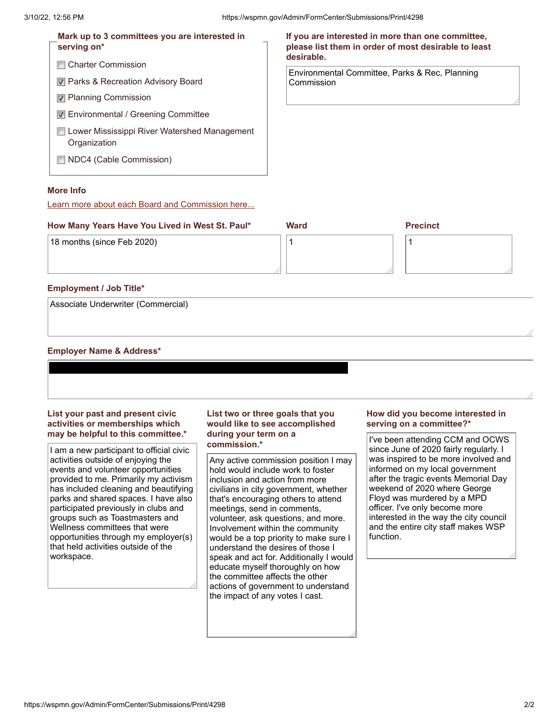#### **Charter Commission Parks & Recreation Advisory Board Planning Commission Environmental / Greening Committee Lower Mississippi River Watershed Management Organization ■ NDC4 (Cable Commission) Mark up to 3 committees you are interested in serving on\* If you are interested in more than one committee, please list them in order of most desirable to least desirable.** Environmental Committee, Parks & Rec, Planning Commission

## **More Info**

Learn more about each Board and Commission here...

## **How Many Years Have You Lived in West St. Paul\* Ward Precinct** 18 months (since Feb 2020) 1 1

## **Employment / Job Title\***

Associate Underwriter (Commercial)

### **Employer Name & Address\***

## **List your past and present civic activities or memberships which may be helpful to this committee.\***

I am a new participant to official civic activities outside of enjoying the events and volunteer opportunities provided to me. Primarily my activism has included cleaning and beautifying parks and shared spaces. I have also participated previously in clubs and groups such as Toastmasters and Wellness committees that were opportunities through my employer(s) that held activities outside of the workspace.

## **List two or three goals that you would like to see accomplished during your term on a commission.\***

Any active commission position I may hold would include work to foster inclusion and action from more civilians in city government, whether that's encouraging others to attend meetings, send in comments, volunteer, ask questions, and more. Involvement within the community would be a top priority to make sure I understand the desires of those I speak and act for. Additionally I would educate myself thoroughly on how the committee affects the other actions of government to understand the impact of any votes I cast.

## **How did you become interested in serving on a committee?\***

I've been attending CCM and OCWS since June of 2020 fairly regularly. I was inspired to be more involved and informed on my local government after the tragic events Memorial Day weekend of 2020 where George Floyd was murdered by a MPD officer. I've only become more interested in the way the city council and the entire city staff makes WSP function.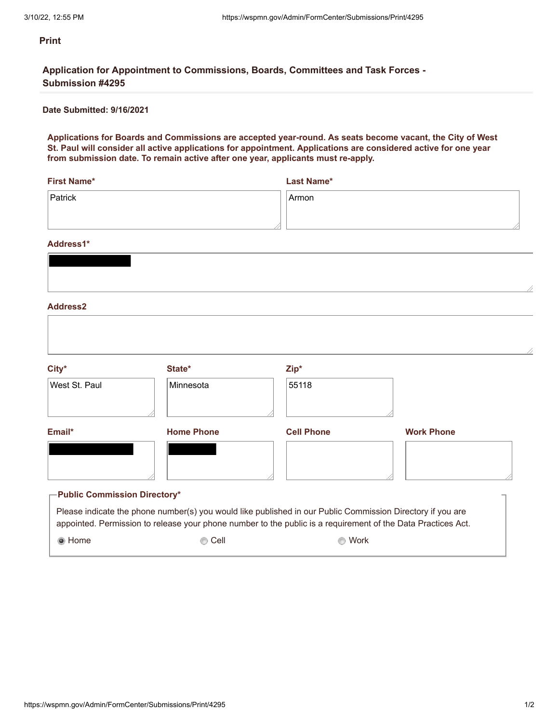**Application for Appointment to Commissions, Boards, Committees and Task Forces - Submission #4295**

## **Date Submitted: 9/16/2021**

**Applications for Boards and Commissions are accepted year-round. As seats become vacant, the City of West St. Paul will consider all active applications for appointment. Applications are considered active for one year from submission date. To remain active after one year, applicants must re-apply.**

| <b>First Name*</b> | Last Name* |
|--------------------|------------|
| Patrick            | Armon      |
|                    |            |
|                    |            |

### **Address1\***

| $City*$                             | State*                                                                                                                                                                                                                     | Zip*              |                   |
|-------------------------------------|----------------------------------------------------------------------------------------------------------------------------------------------------------------------------------------------------------------------------|-------------------|-------------------|
| West St. Paul                       | Minnesota                                                                                                                                                                                                                  | 55118             |                   |
| Email*                              | <b>Home Phone</b>                                                                                                                                                                                                          | <b>Cell Phone</b> | <b>Work Phone</b> |
|                                     |                                                                                                                                                                                                                            |                   |                   |
| <b>Public Commission Directory*</b> |                                                                                                                                                                                                                            |                   |                   |
|                                     | Please indicate the phone number(s) you would like published in our Public Commission Directory if you are<br>appointed. Permission to release your phone number to the public is a requirement of the Data Practices Act. |                   |                   |
| ◉ Home                              | Cell                                                                                                                                                                                                                       | Work              |                   |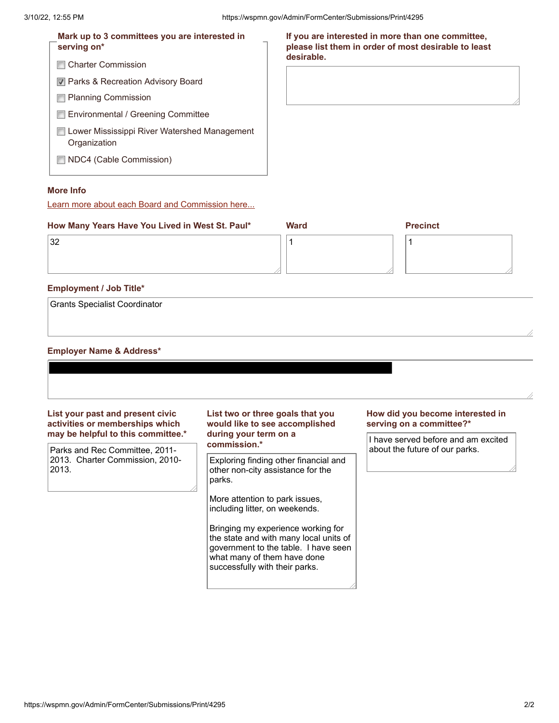| Mark up to 3 committees you are interested in<br>serving on*   | If you are interested in more than one committee,<br>please list them in order of most desirable to least<br>desirable. |
|----------------------------------------------------------------|-------------------------------------------------------------------------------------------------------------------------|
| <b>□ Charter Commission</b>                                    |                                                                                                                         |
| <b>■ Parks &amp; Recreation Advisory Board</b>                 |                                                                                                                         |
| <b>□ Planning Commission</b>                                   |                                                                                                                         |
| Environmental / Greening Committee                             |                                                                                                                         |
| □ Lower Mississippi River Watershed Management<br>Organization |                                                                                                                         |
| $\Box$ NDC4 (Cable Commission)                                 |                                                                                                                         |
|                                                                |                                                                                                                         |

## **More Info**

Learn more about each Board and Commission here...

| How Many Years Have You Lived in West St. Paul* | <b>Ward</b> | <b>Precinct</b> |  |
|-------------------------------------------------|-------------|-----------------|--|
| 32                                              |             |                 |  |
|                                                 |             |                 |  |
|                                                 |             |                 |  |

## **Employment / Job Title\***

Grants Specialist Coordinator

### **Employer Name & Address\***

**List your past and present civic activities or memberships which may be helpful to this committee.\***

Parks and Rec Committee, 2011- 2013. Charter Commission, 2010- 2013.

### **List two or three goals that you would like to see accomplished during your term on a commission.\***

Exploring finding other financial and other non-city assistance for the parks.

More attention to park issues, including litter, on weekends.

Bringing my experience working for the state and with many local units of government to the table. I have seen what many of them have done successfully with their parks.

### **How did you become interested in serving on a committee?\***

I have served before and am excited about the future of our parks.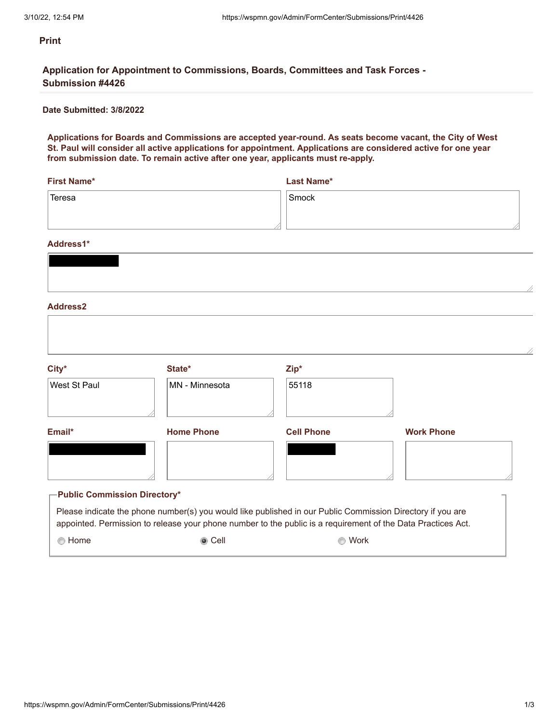**Application for Appointment to Commissions, Boards, Committees and Task Forces - Submission #4426**

## **Date Submitted: 3/8/2022**

**Applications for Boards and Commissions are accepted year-round. As seats become vacant, the City of West St. Paul will consider all active applications for appointment. Applications are considered active for one year from submission date. To remain active after one year, applicants must re-apply.**

| First Name*         | Last Name* |
|---------------------|------------|
| <sup>'</sup> Teresa | Smock      |
|                     |            |
|                     |            |

#### **Address1\***

| $City*$                               | State*                                                                                                                                                                                                                     | Zip*              |                   |
|---------------------------------------|----------------------------------------------------------------------------------------------------------------------------------------------------------------------------------------------------------------------------|-------------------|-------------------|
| West St Paul                          | MN - Minnesota                                                                                                                                                                                                             | 55118             |                   |
| Email*                                | <b>Home Phone</b>                                                                                                                                                                                                          | <b>Cell Phone</b> | <b>Work Phone</b> |
|                                       |                                                                                                                                                                                                                            |                   |                   |
| $\Gamma$ Public Commission Directory* |                                                                                                                                                                                                                            |                   |                   |
|                                       | Please indicate the phone number(s) you would like published in our Public Commission Directory if you are<br>appointed. Permission to release your phone number to the public is a requirement of the Data Practices Act. |                   |                   |
| ◯ Home                                | ◉ Cell                                                                                                                                                                                                                     | Work              |                   |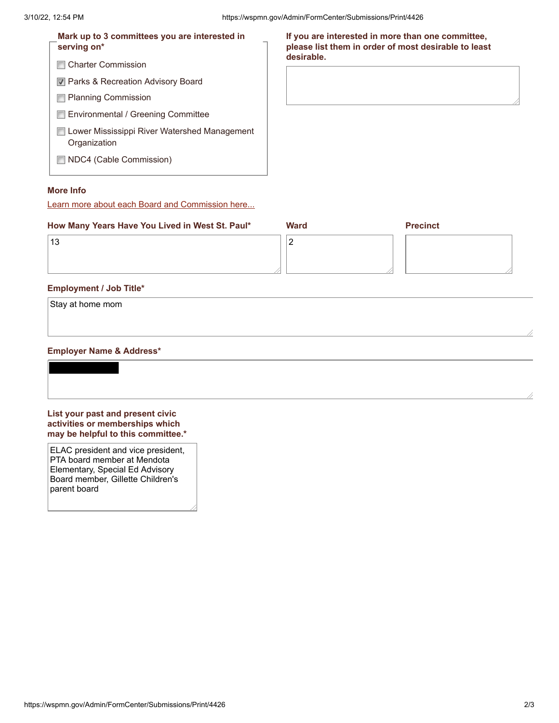| Mark up to 3 committees you are interested in<br>serving on* | If you are interested in more than one committee,<br>please list them in order of most desirable to least |
|--------------------------------------------------------------|-----------------------------------------------------------------------------------------------------------|
| <b>Charter Commission</b><br><b>FOR</b>                      | desirable.                                                                                                |
| 7 Parks & Recreation Advisory Board                          |                                                                                                           |
| □ Planning Commission                                        |                                                                                                           |
| Environmental / Greening Committee                           |                                                                                                           |
| Lower Mississippi River Watershed Management<br>Organization |                                                                                                           |
| NDC4 (Cable Commission)<br><b>COLLEGE</b>                    |                                                                                                           |

## **More Info**

Learn more about each Board and Commission here...

| How Many Years Have You Lived in West St. Paul* | <b>Ward</b> | <b>Precinct</b> |
|-------------------------------------------------|-------------|-----------------|
| 13                                              | <u>.</u>    |                 |
|                                                 |             |                 |
|                                                 |             |                 |

## **Employment / Job Title\***

| Stay at home mom |  |  |
|------------------|--|--|
|                  |  |  |
|                  |  |  |

## **Employer Name & Address\***



**may be helpful to this committee.\***

ELAC president and vice president, PTA board member at Mendota Elementary, Special Ed Advisory Board member, Gillette Children's parent board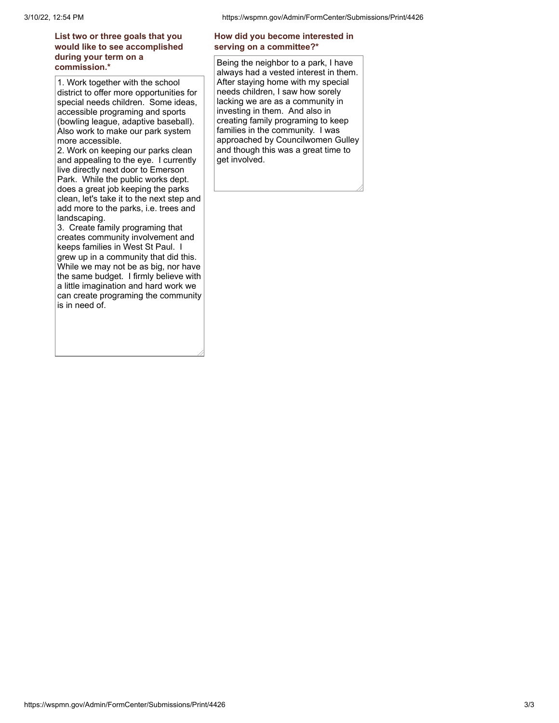## **List two or three goals that you would like to see accomplished during your term on a commission.\***

1. Work together with the school district to offer more opportunities for special needs children. Some ideas, accessible programing and sports (bowling league, adaptive baseball). Also work to make our park system more accessible.

2. Work on keeping our parks clean and appealing to the eye. I currently live directly next door to Emerson Park. While the public works dept. does a great job keeping the parks clean, let's take it to the next step and add more to the parks, i.e. trees and landscaping.

3. Create family programing that creates community involvement and keeps families in West St Paul. I grew up in a community that did this. While we may not be as big, nor have the same budget. I firmly believe with a little imagination and hard work we can create programing the community is in need of.

## **How did you become interested in serving on a committee?\***

Being the neighbor to a park, I have always had a vested interest in them. After staying home with my special needs children, I saw how sorely lacking we are as a community in investing in them. And also in creating family programing to keep families in the community. I was approached by Councilwomen Gulley and though this was a great time to get involved.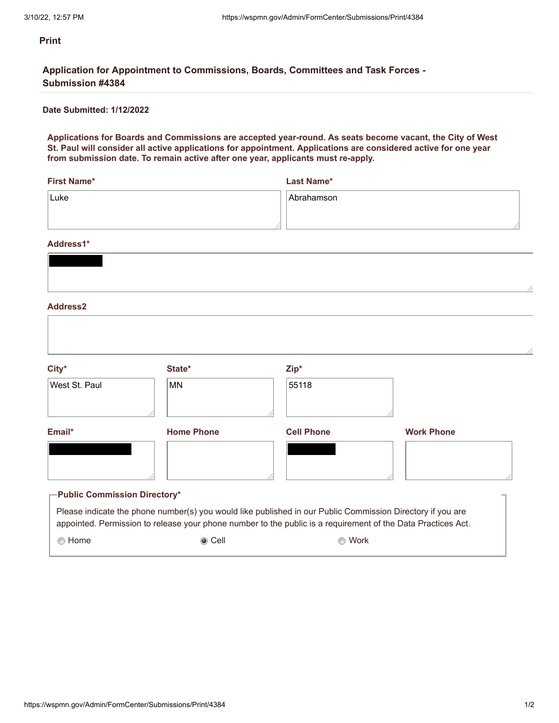**Application for Appointment to Commissions, Boards, Committees and Task Forces - Submission #4384**

## **Date Submitted: 1/12/2022**

**Applications for Boards and Commissions are accepted year-round. As seats become vacant, the City of West St. Paul will consider all active applications for appointment. Applications are considered active for one year from submission date. To remain active after one year, applicants must re-apply.**

| First Name* | <b>Last Name*</b> |
|-------------|-------------------|
| Luke        | Abrahamson        |
|             |                   |
|             |                   |

### **Address1\***

| City*                               | State*                                                                                                                                                                                                                     | Zip*              |                   |
|-------------------------------------|----------------------------------------------------------------------------------------------------------------------------------------------------------------------------------------------------------------------------|-------------------|-------------------|
| West St. Paul                       | MN.                                                                                                                                                                                                                        | 55118             |                   |
| Email*                              | <b>Home Phone</b>                                                                                                                                                                                                          | <b>Cell Phone</b> | <b>Work Phone</b> |
|                                     |                                                                                                                                                                                                                            |                   |                   |
| <b>Public Commission Directory*</b> |                                                                                                                                                                                                                            |                   |                   |
|                                     | Please indicate the phone number(s) you would like published in our Public Commission Directory if you are<br>appointed. Permission to release your phone number to the public is a requirement of the Data Practices Act. |                   |                   |
| ◯ Home                              | ◉ Cell                                                                                                                                                                                                                     | Work              |                   |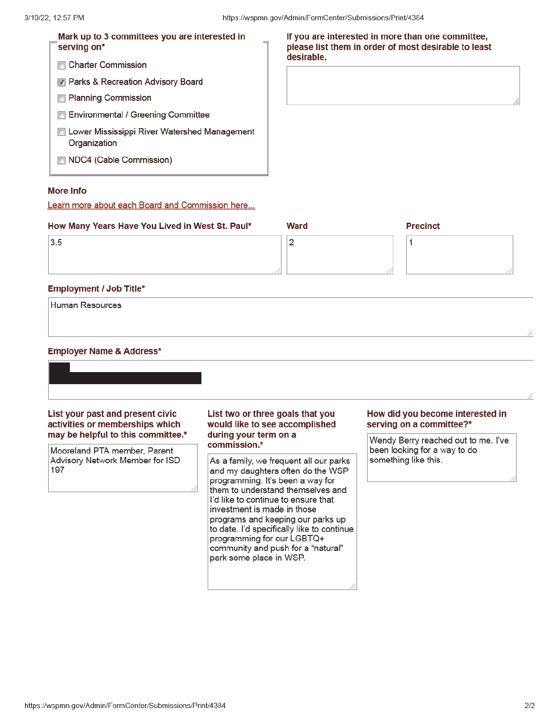| Mark up to 3 committees you are interested in<br>serving on* | If you are interested in more than one committee,<br>please list them in order of most desirable to least<br>desirable. |
|--------------------------------------------------------------|-------------------------------------------------------------------------------------------------------------------------|
| <b>Charter Commission</b>                                    |                                                                                                                         |
| <b>■ Parks &amp; Recreation Advisory Board</b>               |                                                                                                                         |
| <b>□ Planning Commission</b>                                 |                                                                                                                         |
| Environmental / Greening Committee                           |                                                                                                                         |
| Lower Mississippi River Watershed Management<br>Organization |                                                                                                                         |
| NDC4 (Cable Commission)                                      |                                                                                                                         |

## **More Info**

Learn more about each Board and Commission here...

| How Many Years Have You Lived in West St. Paul* | Ward | <b>Precinct</b> |
|-------------------------------------------------|------|-----------------|
| 3.5                                             |      |                 |
|                                                 |      |                 |
|                                                 |      |                 |

## **Employment / Job Title\***

Human Resources

## **Employer Name & Address\***

List your past and present civic activities or memberships which may be helpful to this committee.\*

Mooreland PTA member, Parent Advisory Network Member for ISD 197

## List two or three goals that you would like to see accomplished during your term on a commission.\*

As a family, we frequent all our parks and my daughters often do the WSP programming. It's been a way for them to understand themselves and I'd like to continue to ensure that investment is made in those programs and keeping our parks up to date. I'd specifically like to continue programming for our LGBTQ+ community and push for a "natural" park some place in WSP.

#### How did you become interested in serving on a committee?\*

Wendy Berry reached out to me. I've been looking for a way to do something like this.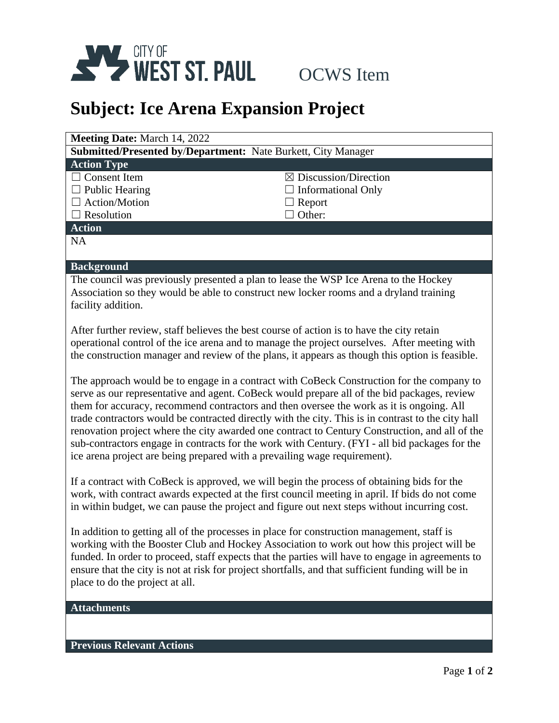

## **Subject: Ice Arena Expansion Project**

| Meeting Date: March 14, 2022                                                                    |                                                                                           |  |
|-------------------------------------------------------------------------------------------------|-------------------------------------------------------------------------------------------|--|
| <b>Submitted/Presented by/Department:</b> Nate Burkett, City Manager                            |                                                                                           |  |
| <b>Action Type</b>                                                                              |                                                                                           |  |
| $\Box$ Consent Item                                                                             | $\boxtimes$ Discussion/Direction                                                          |  |
| $\Box$ Public Hearing                                                                           | <b>Informational Only</b>                                                                 |  |
| $\Box$ Action/Motion                                                                            | Report                                                                                    |  |
| $\Box$ Resolution                                                                               | Other:                                                                                    |  |
| <b>Action</b>                                                                                   |                                                                                           |  |
| <b>NA</b>                                                                                       |                                                                                           |  |
|                                                                                                 |                                                                                           |  |
| <b>Background</b>                                                                               |                                                                                           |  |
| The council was previously presented a plan to lease the WSP Ice Arena to the Hockey            |                                                                                           |  |
| Association so they would be able to construct new locker rooms and a dryland training          |                                                                                           |  |
| facility addition.                                                                              |                                                                                           |  |
|                                                                                                 |                                                                                           |  |
| After further review, staff believes the best course of action is to have the city retain       |                                                                                           |  |
| operational control of the ice arena and to manage the project ourselves. After meeting with    |                                                                                           |  |
| the construction manager and review of the plans, it appears as though this option is feasible. |                                                                                           |  |
|                                                                                                 |                                                                                           |  |
|                                                                                                 | The approach would be to engage in a contract with CoBeck Construction for the company to |  |
| serve as our representative and agent. CoBeck would prepare all of the bid packages, review     |                                                                                           |  |

serve as our representative and agent. CoBeck would prepare all of the bid packages, review them for accuracy, recommend contractors and then oversee the work as it is ongoing. All trade contractors would be contracted directly with the city. This is in contrast to the city hall renovation project where the city awarded one contract to Century Construction, and all of the sub-contractors engage in contracts for the work with Century. (FYI - all bid packages for the ice arena project are being prepared with a prevailing wage requirement).

If a contract with CoBeck is approved, we will begin the process of obtaining bids for the work, with contract awards expected at the first council meeting in april. If bids do not come in within budget, we can pause the project and figure out next steps without incurring cost.

In addition to getting all of the processes in place for construction management, staff is working with the Booster Club and Hockey Association to work out how this project will be funded. In order to proceed, staff expects that the parties will have to engage in agreements to ensure that the city is not at risk for project shortfalls, and that sufficient funding will be in place to do the project at all.

## **Attachments**

## **Previous Relevant Actions**